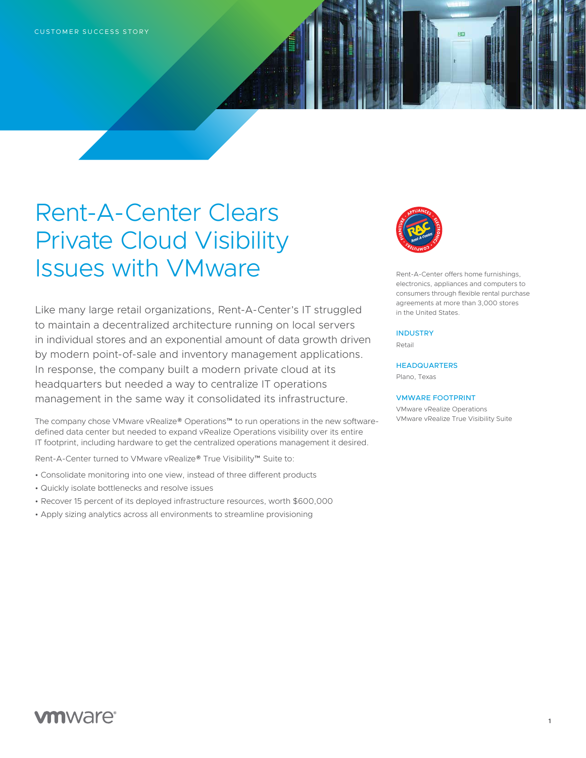# Rent-A-Center Clears Private Cloud Visibility Issues with VMware

Like many large retail organizations, Rent-A-Center's IT struggled to maintain a decentralized architecture running on local servers in individual stores and an exponential amount of data growth driven by modern point-of-sale and inventory management applications. In response, the company built a modern private cloud at its headquarters but needed a way to centralize IT operations management in the same way it consolidated its infrastructure.

The company chose VMware vRealize® Operations™ to run operations in the new softwaredefined data center but needed to expand vRealize Operations visibility over its entire IT footprint, including hardware to get the centralized operations management it desired.

Rent-A-Center turned to VMware vRealize® True Visibility™ Suite to:

- Consolidate monitoring into one view, instead of three different products
- Quickly isolate bottlenecks and resolve issues
- Recover 15 percent of its deployed infrastructure resources, worth \$600,000
- Apply sizing analytics across all environments to streamline provisioning



Rent-A-Center offers home furnishings, electronics, appliances and computers to consumers through flexible rental purchase agreements at more than 3,000 stores in the United States.

### INDUSTRY

Retail

**HEADQUARTERS** Plano, Texas

#### VMWARE FOOTPRINT

VMware vRealize Operations VMware vRealize True Visibility Suite

## **vm**ware<sup>®</sup>